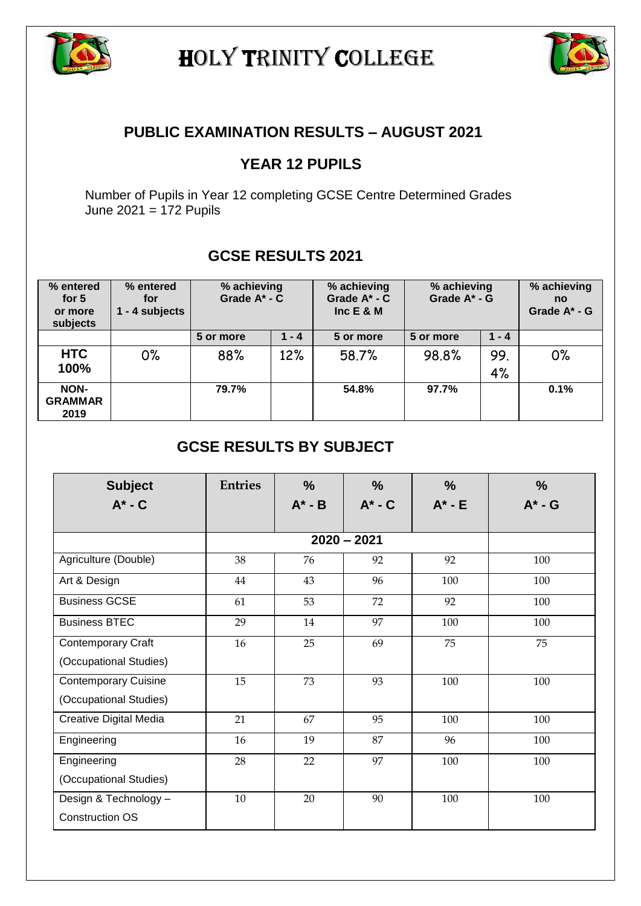

HOLY TRINITY COLLEGE



## **PUBLIC EXAMINATION RESULTS – AUGUST 2021**

## **YEAR 12 PUPILS**

Number of Pupils in Year 12 completing GCSE Centre Determined Grades June 2021 = 172 Pupils

## **GCSE RESULTS 2021**

| % entered<br>for $5$<br>or more<br>subjects | % entered<br>for<br>1 - 4 subjects | % achieving<br>Grade $A^*$ - $C$ |         | % achieving<br>Grade $A^*$ - $C$<br>Inc $E$ & M | % achieving<br>Grade A* - G |           | % achieving<br>no<br>Grade A* - G |
|---------------------------------------------|------------------------------------|----------------------------------|---------|-------------------------------------------------|-----------------------------|-----------|-----------------------------------|
|                                             |                                    | 5 or more                        | $1 - 4$ | 5 or more                                       | 5 or more                   | $1 - 4$   |                                   |
| <b>HTC</b><br>100%                          | 0%                                 | 88%                              | 12%     | 58.7%                                           | 98.8%                       | 99.<br>4% | 0%                                |
| NON-<br><b>GRAMMAR</b><br>2019              |                                    | 79.7%                            |         | 54.8%                                           | 97.7%                       |           | 0.1%                              |

## **GCSE RESULTS BY SUBJECT**

| <b>Subject</b><br>$A^* - C$                     | <b>Entries</b> | $\%$<br>$A^* - B$ | $\frac{9}{6}$<br>$A^*$ - $C$ | $\frac{0}{0}$<br>$A^*$ - E | $\frac{9}{6}$<br>$A^*$ - G |
|-------------------------------------------------|----------------|-------------------|------------------------------|----------------------------|----------------------------|
|                                                 |                |                   |                              |                            |                            |
|                                                 |                |                   |                              |                            |                            |
| Agriculture (Double)                            | 38             | 76                | 92                           | 92                         | 100                        |
| Art & Design                                    | 44             | 43                | 96                           | 100                        | 100                        |
| <b>Business GCSE</b>                            | 61             | 53                | 72                           | 92                         | 100                        |
| <b>Business BTEC</b>                            | 29             | 14                | 97                           | 100                        | 100                        |
| <b>Contemporary Craft</b>                       | 16             | 25                | 69                           | 75                         | 75                         |
| (Occupational Studies)                          |                |                   |                              |                            |                            |
| <b>Contemporary Cuisine</b>                     | 15             | 73                | 93                           | 100                        | 100                        |
| (Occupational Studies)                          |                |                   |                              |                            |                            |
| Creative Digital Media                          | 21             | 67                | 95                           | 100                        | 100                        |
| Engineering                                     | 16             | 19                | 87                           | 96                         | 100                        |
| Engineering                                     | 28             | 22                | 97                           | 100                        | 100                        |
| (Occupational Studies)                          |                |                   |                              |                            |                            |
| Design & Technology -<br><b>Construction OS</b> | 10             | 20                | 90                           | 100                        | 100                        |
|                                                 |                |                   |                              |                            |                            |